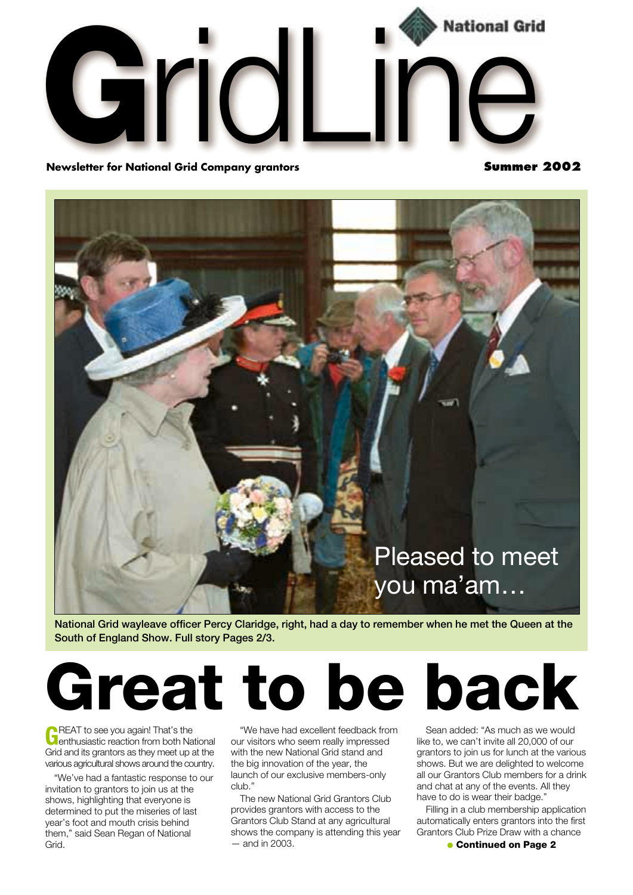

**Newsletter for National Grid Company grantors** 

**Summer 2002**



**National Grid wayleave officer Percy Claridge, right, had a day to remember when he met the Queen at the South of England Show. Full story Pages 2/3.**

# **Great to be back**

**GREAT** to see you again! That's the<br>**C** enthusiastic reaction from both National Grid and its grantors as they meet up at the various agricultural shows around the country.

"We've had a fantastic response to our invitation to grantors to join us at the shows, highlighting that everyone is determined to put the miseries of last year's foot and mouth crisis behind them," said Sean Regan of National Grid.

"We have had excellent feedback from our visitors who seem really impressed with the new National Grid stand and the big innovation of the year, the launch of our exclusive members-only club."

The new National Grid Grantors Club provides grantors with access to the Grantors Club Stand at any agricultural shows the company is attending this year  $-$  and in 2003

Sean added: "As much as we would like to, we can't invite all 20,000 of our grantors to join us for lunch at the various shows. But we are delighted to welcome all our Grantors Club members for a drink

and chat at any of the events. All they have to do is wear their badge." Filling in a club membership application automatically enters grantors into the first

Grantors Club Prize Draw with a chance ● **Continued on Page 2**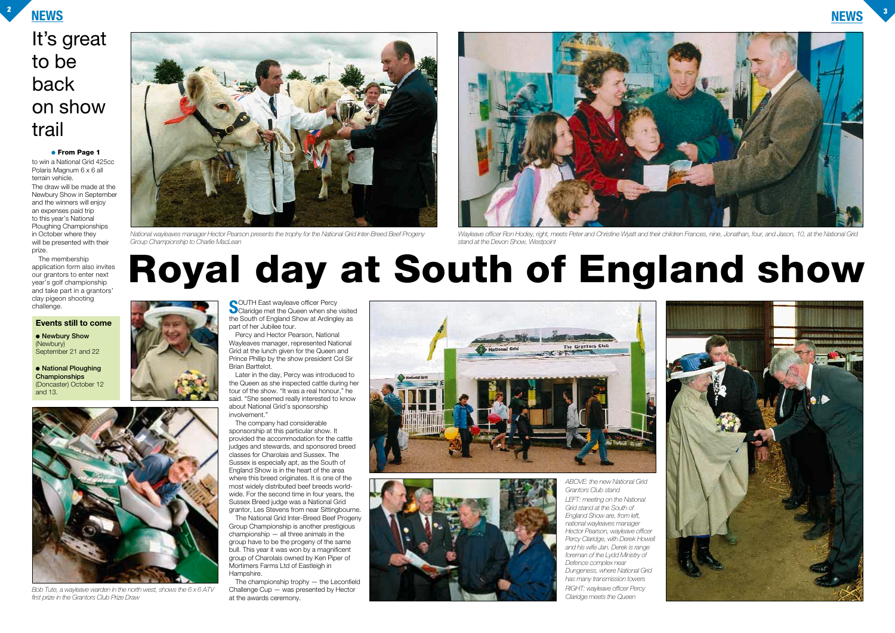**NEWS <sup>2</sup>**







## It's great to be back on show trail

**S**OUTH East wayleave officer Percy<br>Claridge met the Queen when she visited the South of England Show at Ardingley as part of her Jubilee tour.

Percy and Hector Pearson, National Wayleaves manager, represented National Grid at the lunch given for the Queen and Prince Phillip by the show president Col Sir Brian Barttelot.

Later in the day, Percy was introduced to the Queen as she inspected cattle during her tour of the show. "It was a real honour," he said. "She seemed really interested to know about National Grid's sponsorship involvement."

The company had considerable sponsorship at this particular show. It provided the accommodation for the cattle judges and stewards, and sponsored breed classes for Charolais and Sussex. The Sussex is especially apt, as the South of England Show is in the heart of the area where this breed originates. It is one of the most widely distributed beef breeds worldwide. For the second time in four years, the Sussex Breed judge was a National Grid grantor, Les Stevens from near Sittingbourne.

The National Grid Inter-Breed Beef Progeny Group Championship is another prestigious championship — all three animals in the group have to be the progeny of the same bull. This year it was won by a magnificent group of Charolais owned by Ken Piper of Mortimers Farms Ltd of Eastleigh in Hampshire.

The championship trophy — the Leconfield Challenge Cup — was presented by Hector at the awards ceremony.





● **Newbury Show** (Newbury) September 21 and 22

to win a National Grid 425cc Polaris Magnum 6 x 6 all terrain vehicle.

The draw will be made at the Newbury Show in September and the winners will enjoy an expenses paid trip to this year's National Ploughing Championships in October where they will be presented with their prize.

The membership application form also invites our grantors to enter next year's golf championship and take part in a grantors' clay pigeon shooting challenge.

#### ● **From Page 1**



*Bob Tute, a wayleave warden in the north west, shows the 6 x 6 ATV first prize in the Grantors Club Prize Draw* 



*National wayleaves manager Hector Pearson presents the trophy for the National Grid Inter-Breed Beef Progeny Group Championship to Charlie MacLean* 

# **Royal day at South of England show**





*Wayleave officer Ron Hodey, right, meets Peter and Christine Wyatt and their children Frances, nine, Jonathan, four, and Jason, 10, at the National Grid stand at the Devon Show, Westpoint*

*ABOVE: the new National Grid Grantors Club stand* 

*LEFT: meeting on the National Grid stand at the South of England Show are, from left, national wayleaves manager Hector Pearson, wayleave officer Percy Claridge, with Derek Howell and his wife Jan. Derek is range foreman of the Lydd Ministry of Defence complex near Dungeness, where National Grid has many transmission towers RIGHT: wayleave officer Percy Claridge meets the Queen*

#### **Events still to come**

● **National Ploughing Championships** (Doncaster) October 12 and 13.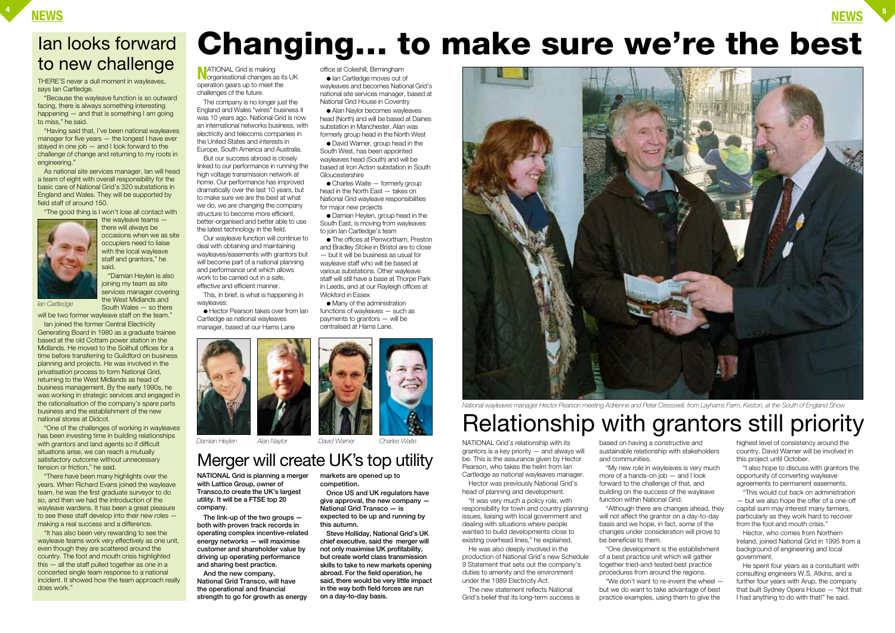**N**ATIONAL Grid is making<br>organisational changes as its UK operation gears up to meet the challenges of the future.

The company is no longer just the England and Wales "wires" business it was 10 years ago. National Grid is now an international networks business, with electricity and telecoms companies in the United States and interests in

Europe, South America and Australia. But our success abroad is closely

linked to our performance in running the high voltage transmission network at home. Our performance has improved dramatically over the last 10 years, but to make sure we are the best at what we do, we are changing the company structure to become more efficient, better-organised and better able to use the latest technology in the field.

 $\bullet$  Charles Waite  $-$  formerly group head in the North East — takes on National Grid wayleave responsibilities

Our wayleave function will continue to deal with obtaining and maintaining wayleaves/easements with grantors but will become part of a national planning and performance unit which allows work to be carried out in a safe, effective and efficient manner.

This, in brief, is what is happening in wayleaves:

● The offices at Penwortham, Preston and Bradley Stoke in Bristol are to close — but it will be business as usual for wayleave staff who will be based at various substations. Other wayleave staff will still have a base at Thorpe Park in Leeds, and at our Rayleigh offices at

● Hector Pearson takes over from Ian Cartledge as national wayleaves manager, based at our Hams Lane



● Ian Cartledge moves out of wayleaves and becomes National Grid's national site services manager, based at National Grid House in Coventry ● Alan Naylor becomes wayleaves head (North) and will be based at Daines substation in Manchester. Alan was formerly group head in the North West ● David Warner, group head in the South West, has been appointed wayleaves head (South) and will be based at Iron Acton substation in South

Gloucestershire

for major new projects

● Damian Heylen, group head in the South East, is moving from wayleaves

to join Ian Cartledge's team

"This would cut back on administration — but we also hope the offer of a one-off capital sum may interest many farmers, particularly as they work hard to recover from the foot and mouth crisis.

Wickford in Essex

● Many of the administration functions of wayleaves — such as payments to grantors — will be centralised at Hams Lane.



THERE'S never a dull moment in wayleaves, says Ian Cartledge.

> NATIONAL Grid's relationship with its grantors is a key priority — and always will be. This is the assurance given by Hector Pearson, who takes the helm from Ian Cartledge as national wayleaves manager.

"Having said that, I've been national wayleaves manager for five years – the longest I have ever stayed in one job  $-$  and I look forward to the challenge of change and returning to my roots in engineering."

> Hector was previously National Grid's head of planning and development.

"It was very much a policy role, with responsibility for town and country planning issues, liaising with local government and dealing with situations where people wanted to build developments close to existing overhead lines," he explained.

He was also deeply involved in the production of National Grid's new Schedule 9 Statement that sets out the company's duties to amenity and the environment under the 1989 Electricity Act.

The new statement reflects National Grid's belief that its long-term success is

based on having a constructive and sustainable relationship with stakeholders and communities.

"My new role in wayleaves is very much more of a hands-on job — and I look forward to the challenge of that, and building on the success of the wayleave function within National Grid.

"Although there are changes ahead, they will not affect the grantor on a day-to-day basis and we hope, in fact, some of the changes under consideration will prove to be beneficial to them.

"One development is the establishment of a best practice unit which will gather together tried-and-tested best practice procedures from around the regions. "We don't want to re-invent the wheel but we do want to take advantage of best practice examples, using them to give the

highest level of consistency around the country. David Warner will be involved in this project until October.

"I also hope to discuss with grantors the opportunity of converting wayleave agreements to permanent easements.

Hector, who comes from Northern Ireland, joined National Grid in 1995 from a background of engineering and local government.

He spent four years as a consultant with consulting engineers W.S. Atkins, and a further four years with Arup, the company that built Sydney Opera House — "Not that I had anything to do with that!" he said.

## office at Coleshill, Birmingham **Changing… to make sure we're the best**

"Because the wayleave function is so outward facing, there is always something interesting happening — and that is something I am going to miss," he said.

As national site services manager, Ian will head a team of eight with overall responsibility for the basic care of National Grid's 320 substations in England and Wales. They will be supported by field staff of around 150.

"The good thing is I won't lose all contact with



the wayleave teams there will always be occasions when we as site occupiers need to liaise with the local wayleave staff and grantors," he said.

"Damian Heylen is also joining my team as site services manager covering the West Midlands and South Wales — so there

will be two former wayleave staff on the team." Ian joined the former Central Electricity

Generating Board in 1980 as a graduate trainee based at the old Cottam power station in the Midlands. He moved to the Solihull offices for a time before transferring to Guildford on business planning and projects. He was involved in the privatisation process to form National Grid, returning to the West Midlands as head of business management. By the early 1990s, he was working in strategic services and engaged in the rationalisation of the company's spare parts business and the establishment of the new national stores at Didcot.

"One of the challenges of working in wayleaves has been investing time in building relationships with grantors and land agents so if difficult situations arise, we can reach a mutually satisfactory outcome without unnecessary tension or friction," he said.

"There have been many highlights over the years. When Richard Evans joined the wayleave team, he was the first graduate surveyor to do so, and then we had the introduction of the wayleave wardens. It has been a great pleasure to see these staff develop into their new roles making a real success and a difference.

"It has also been very rewarding to see the wayleave teams work very effectively as one unit, even though they are scattered around the country. The foot and mouth crisis highlighted this — all the staff pulled together as one in a concerted single team response to a national incident. It showed how the team approach really does work."

**NATIONAL Grid is planning a merger with Lattice Group, owner of Transco,to create the UK's largest utility. It will be a FTSE top 20 company.**

**The link-up of the two groups both with proven track records in operating complex incentive-related energy networks — will maximise customer and shareholder value by driving up operating performance and sharing best practice.**

**And the new company, National Grid Transco, will have the operational and financial strength to go for growth as energy** **markets are opened up to competition.**

**Once US and UK regulators have give approval, the new company — National Grid Transco — is expected to be up and running by this autumn.**

**Steve Holliday, National Grid's UK chief executive, said the merger will not only maximise UK profitability, but create world class transmission skills to take to new markets opening abroad. For the field operation, he said, there would be very little impact in the way both field forces are run on a day-to-day basis.**

## Ian looks forward to new challenge

*Ian Cartledge*

## Relationship with grantors still priority



*National wayleaves manager Hector Pearson meeting Adrienne and Peter Cresswell, from Layhams Farm, Keston, at the South of England Show*

*Damian Heylen Alan Naylor David Warner Charles Waite*



## Merger will create UK's top utility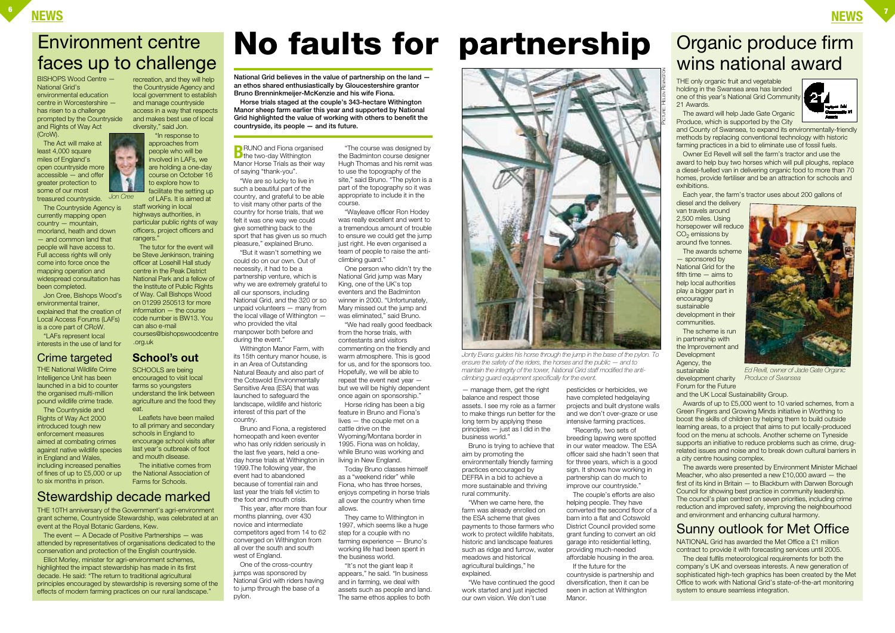— manage them, get the right balance and respect those assets. I see my role as a farmer to make things run better for the long term by applying these principles — just as I did in the business world."

Bruno is trying to achieve that aim by promoting the environmentally friendly farming practices encouraged by DEFRA in a bid to achieve a more sustainable and thriving rural community.

"When we came here, the farm was already enrolled on the ESA scheme that gives payments to those farmers who work to protect wildlife habitats, historic and landscape features such as ridge and furrow, water meadows and historical agricultural buildings," he explained.

"We have continued the good work started and just injected our own vision. We don't use

pesticides or herbicides, we have completed hedgelaying projects and built drystone walls and we don't over-graze or use intensive farming practices.

THE only organic fruit and vegetable holding in the Swansea area has landed one of this year's National Grid Community 21 Awards.

"Recently, two sets of breeding lapwing were spotted in our water meadow. The ESA officer said she hadn't seen that for three years, which is a good sign. It shows how working in partnership can do much to improve our countryside."

diesel and the delivery van travels around 2,500 miles. Using horsepower will reduce  $CO<sub>2</sub>$  emissions by around five tonnes.

The couple's efforts are also helping people. They have converted the second floor of a barn into a flat and Cotswold District Council provided some grant funding to convert an old garage into residential letting, providing much-needed affordable housing in the area.

If the future for the countryside is partnership and diversification, then it can be seen in action at Withington Manor.

## **NEWS <sup>6</sup>**







and County of Swansea, to expand its environmentally-friendly methods by replacing conventional technology with historic farming practices in a bid to eliminate use of fossil fuels.

Owner Ed Revell will sell the farm's tractor and use the award to help buy two horses which will pull ploughs, replace a diesel-fuelled van in delivering organic food to more than 70 homes, provide fertiliser and be an attraction for schools and exhibitions.

Each year, the farm's tractor uses about 200 gallons of

recreation, and they will help the Countryside Agency and local government to establish and manage countryside access in a way that respects and makes best use of local diversity," said Jon. "In response to

staff working in local highways authorities, in particular public rights of way officers, project officers and rangers

> The awards scheme — sponsored by National Grid for the fifth time — aims to help local authorities play a bigger part in encouraging sustainable development in their communities.

The scheme is run in partnership with the Improvement and **Development** Agency, the sustainable development charity Forum for the Future

and the UK Local Sustainability Group.

Awards of up to £5,000 went to 10 varied schemes, from a Green Fingers and Growing Minds initiative in Worthing to boost the skills of children by helping them to build outside learning areas, to a project that aims to put locally-produced food on the menu at schools. Another scheme on Tyneside supports an initiative to reduce problems such as crime, drugrelated issues and noise and to break down cultural barriers in a city centre housing complex.

**B**RUNO and Fiona organised<br>
the two-day Withington Manor Horse Trials as their way of saying "thank-you".

> The awards were presented by Environment Minister Michael Meacher, who also presented a new £10,000 award — the first of its kind in Britain — to Blackburn with Darwen Borough Council for showing best practice in community leadership. The council's plan centred on seven priorities, including crime reduction and improved safety, improving the neighbourhood and environment and enhancing cultural harmony.

**No faults for partnership**

BISHOPS Wood Centre — National Grid's environmental education centre in Worcestershire has risen to a challenge prompted by the Countryside and Rights of Way Act (CroW).

The Act will make at least 4,000 square miles of England's open countryside more accessible — and offer greater protection to some of our most

Jon Cree, Bishops Wood's environmental trainer, explained that the creation of Local Access Forums (LAFs) is a core part of CRoW.

"LAFs represent local interests in the use of land for

approaches from people who will be involved in LAFs, we are holding a one-day course on October 16 to explore how to facilitate the setting up of LAFs. It is aimed at

The tutor for the event will be Steve Jenkinson, training officer at Losehill Hall study centre in the Peak District National Park and a fellow of the Institute of Public Rights of Way. Call Bishops Wood on 01299 250513 for more information — the course code number is BW13. You can also e-mail courses@bishopswoodcentre .org.uk

THE 10TH anniversary of the Government's agri-environment grant scheme, Countryside Stewardship, was celebrated at an event at the Royal Botanic Gardens, Kew.

The event — A Decade of Positive Partnerships — was attended by representatives of organisations dedicated to the conservation and protection of the English countryside.

Elliot Morley, minister for agri-environment schemes, highlighted the impact stewardship has made in its first decade. He said: "The return to traditional agricultural principles encouraged by stewardship is reversing some of the effects of modern farming practices on our rural landscape."

"We are so lucky to live in such a beautiful part of the country, and grateful to be able to visit many other parts of the country for horse trials, that we felt it was one way we could give something back to the sport that has given us so much pleasure," explained Bruno.

"But it wasn't something we could do on our own. Out of necessity, it had to be a partnership venture, which is why we are extremely grateful to all our sponsors, including National Grid, and the 320 or so unpaid volunteers — many from the local village of Withington who provided the vital manpower both before and during the event."

Withington Manor Farm, with its 15th century manor house, is in an Area of Outstanding Natural Beauty and also part of the Cotswold Environmentally Sensitive Area (ESA) that was launched to safeguard the landscape, wildlife and historic interest of this part of the country.

Bruno and Fiona, a registered homeopath and keen eventer who has only ridden seriously in the last five years, held a oneday horse trials at Withington in 1999.The following year, the event had to abandoned because of torrential rain and last year the trials fell victim to the foot and mouth crisis.

treasured countryside. The Countryside Agency is currently mapping open country — mountain, moorland, heath and down — and common land that people will have access to. Full access rights will only come into force once the mapping operation and widespread consultation has been completed. *Jon Cree*

> This year, after more than four months planning, over 430 novice and intermediate competitors aged from 14 to 62 converged on Withington from all over the south and south west of England.

One of the cross-country jumps was sponsored by National Grid with riders having to jump through the base of a pylon.

"The course was designed by the Badminton course designer Hugh Thomas and his remit was to use the topography of the site," said Bruno. "The pylon is a part of the topography so it was appropriate to include it in the course.

"Wayleave officer Ron Hodey was really excellent and went to a tremendous amount of trouble to ensure we could get the jump just right. He even organised a team of people to raise the anticlimbing guard."

One person who didn't try the National Grid jump was Mary King, one of the UK's top eventers and the Badminton winner in 2000. "Unfortunately, Mary missed out the jump and was eliminated," said Bruno.

"We had really good feedback from the horse trials, with contestants and visitors commenting on the friendly and warm atmosphere. This is good for us, and for the sponsors too. Hopefully, we will be able to repeat the event next year but we will be highly dependent

once again on sponsorship." Horse riding has been a big feature in Bruno and Fiona's lives — the couple met on a cattle drive on the Wyoming/Montana border in 1995. Fiona was on holiday, while Bruno was working and living in New England.

Today Bruno classes himself as a "weekend rider" while Fiona, who has three horses, enjoys competing in horse trials all over the country when time allows.

They came to Withington in 1997, which seems like a huge step for a couple with no farming experience — Bruno's working life had been spent in the business world.

"It's not the giant leap it appears," he said. "In business and in farming, we deal with assets such as people and land. The same ethos applies to both



**National Grid believes in the value of partnership on the land an ethos shared enthusiastically by Gloucestershire grantor Bruno Brenninkmeijer-McKenzie and his wife Fiona.**

**Horse trials staged at the couple's 343-hectare Withington Manor sheep farm earlier this year and supported by National Grid highlighted the value of working with others to benefit the countryside, its people — and its future.**

> *Jonty Evans guides his horse through the jump in the base of the pylon. To ensure the safety of the riders, the horses and the public — and to maintain the integrity of the tower, National Grid staff modified the anticlimbing guard equipment specifically for the event.*

## Organic produce firm wins national award

## Environment centre faces up to challenge



*Ed Revill, owner of Jade Gate Organic Produce of Swansea*

NATIONAL Grid has awarded the Met Office a £1 million contract to provide it with forecasting services until 2005.

The deal fulfils meteorological requirements for both the company's UK and overseas interests. A new generation of sophisticated high-tech graphics has been created by the Met Office to work with National Grid's state-of-the-art monitoring system to ensure seamless integration.

## Sunny outlook for Met Office

## Stewardship decade marked

#### Crime targeted **School's out**

THE National Wildlife Crime Intelligence Unit has been launched in a bid to counter the organised multi-million pound wildlife crime trade.

The Countryside and Rights of Way Act 2000 introduced tough new enforcement measures aimed at combating crimes against native wildlife species in England and Wales, including increased penalties of fines of up to £5,000 or up to six months in prison.

SCHOOLS are being encouraged to visit local farms so youngsters understand the link between agriculture and the food they eat.

Leaflets have been mailed to all primary and secondary schools in England to encourage school visits after last year's outbreak of foot and mouth disease.

The initiative comes from the National Association of Farms for Schools.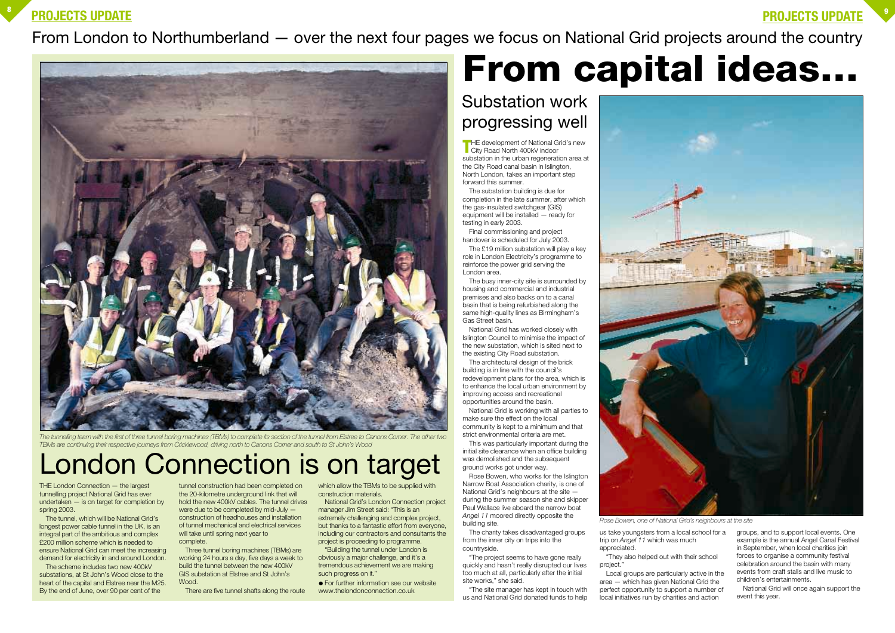**THE** development of National Grid's new City Road North 400kV indoor substation in the urban regeneration area at the City Road canal basin in Islington, North London, takes an important step forward this summer.

The substation building is due for completion in the late summer, after which the gas-insulated switchgear (GIS) equipment will be installed — ready for testing in early 2003.

Final commissioning and project handover is scheduled for July 2003.

The £19 million substation will play a key role in London Electricity's programme to reinforce the power grid serving the London area.

The busy inner-city site is surrounded by housing and commercial and industrial premises and also backs on to a canal basin that is being refurbished along the same high-quality lines as Birmingham's Gas Street basin.

National Grid has worked closely with Islington Council to minimise the impact of the new substation, which is sited next to the existing City Road substation.

The architectural design of the brick building is in line with the council's redevelopment plans for the area, which is to enhance the local urban environment by improving access and recreational opportunities around the basin.

National Grid is working with all parties to make sure the effect on the local community is kept to a minimum and that strict environmental criteria are met.

# **PROJECTS UPDATE <sup>9</sup> From capital ideas…**

This was particularly important during the initial site clearance when an office building was demolished and the subsequent ground works got under way.

Rose Bowen, who works for the Islington Narrow Boat Association charity, is one of National Grid's neighbours at the site during the summer season she and skipper Paul Wallace live aboard the narrow boat *Angel 11* moored directly opposite the building site.

The charity takes disadvantaged groups from the inner city on trips into the countryside.

"The project seems to have gone really quickly and hasn't really disrupted our lives too much at all, particularly after the initial site works," she said.

"The site manager has kept in touch with us and National Grid donated funds to help us take youngsters from a local school for a

trip on *Angel 11* which was much appreciated.

"They also helped out with their school project."

Local groups are particularly active in the area — which has given National Grid the perfect opportunity to support a number of local initiatives run by charities and action

groups, and to support local events. One example is the annual Angel Canal Festival in September, when local charities join forces to organise a community festival celebration around the basin with many events from craft stalls and live music to children's entertainments.

National Grid will once again support the event this year.

THE London Connection — the largest tunnelling project National Grid has ever undertaken — is on target for completion by spring 2003.

The tunnel, which will be National Grid's longest power cable tunnel in the UK, is an integral part of the ambitious and complex £200 million scheme which is needed to ensure National Grid can meet the increasing demand for electricity in and around London.

The scheme includes two new 400kV substations, at St John's Wood close to the heart of the capital and Elstree near the M25. By the end of June, over 90 per cent of the

tunnel construction had been completed on the 20-kilometre underground link that will hold the new 400kV cables. The tunnel drives were due to be completed by mid-July construction of headhouses and installation of tunnel mechanical and electrical services will take until spring next year to complete.

Three tunnel boring machines (TBMs) are working 24 hours a day, five days a week to build the tunnel between the new 400kV GIS substation at Elstree and St John's Wood.

There are five tunnel shafts along the route

which allow the TBMs to be supplied with construction materials.

National Grid's London Connection project manager Jim Street said: "This is an extremely challenging and complex project. but thanks to a fantastic effort from everyone, including our contractors and consultants the project is proceeding to programme.

"Building the tunnel under London is obviously a major challenge, and it's a tremendous achievement we are making such progress on it."

● For further information see our website www.thelondonconnection.co.uk

## London Connection is on target



*The tunnelling team with the first of three tunnel boring machines (TBMs) to complete its section of the tunnel from Elstree to Canons Corner. The other two TBMs are continuing their respective journeys from Cricklewood, driving north to Canons Corner and south to St John's Wood*



From London to Northumberland — over the next four pages we focus on National Grid projects around the country

## Substation work progressing well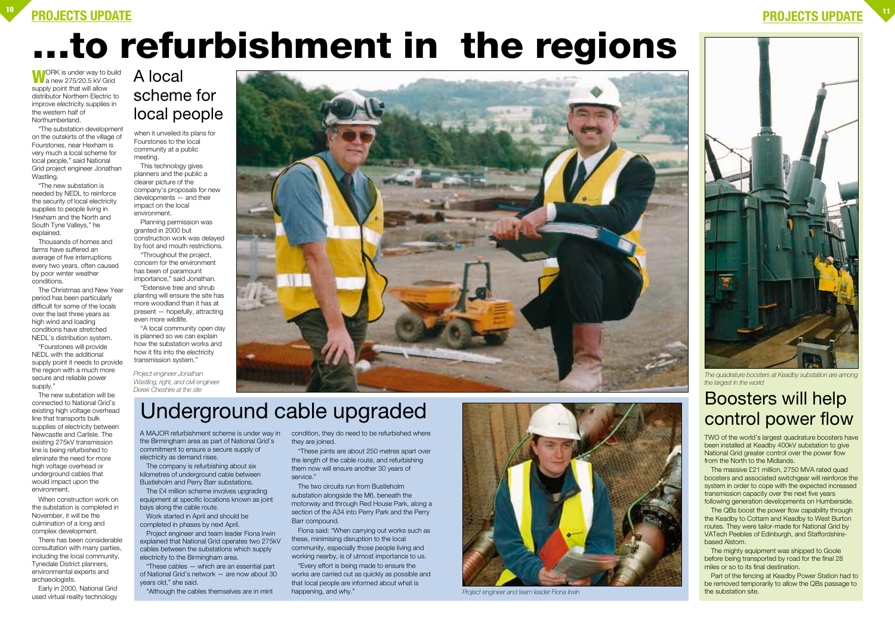WORK is under way to build<br>a new 275/20.5 kV Grid supply point that will allow distributor Northern Electric to improve electricity supplies in the western half of Northumberland.

"The substation development on the outskirts of the village of Fourstones, near Hexham is very much a local scheme for local people," said National Grid project engineer Jonathan Wastling.

"The new substation is needed by NEDL to reinforce the security of local electricity supplies to people living in Hexham and the North and South Tyne Valleys," he explained.

Thousands of homes and farms have suffered an average of five interruptions every two years, often caused by poor winter weather conditions.

The Christmas and New Year period has been particularly difficult for some of the locals over the last three years as high wind and loading conditions have stretched NEDL's distribution system.

when it unveiled its plans for Fourstones to the local community at a public meeting.

"Fourstones will provide NEDL with the additional supply point it needs to provide the region with a much more secure and reliable power supply."

The new substation will be connected to National Grid's existing high voltage overhead line that transports bulk supplies of electricity between Newcastle and Carlisle. The existing 275kV transmission line is being refurbished to eliminate the need for more high voltage overhead or underground cables that would impact upon the environment.

The massive £21 million, 2750 MVA rated quad boosters and associated switchgear will reinforce the system in order to cope with the expected increased transmission capacity over the next five years following generation developments on Humberside.

When construction work on the substation is completed in November, it will be the culmination of a long and complex development.

There has been considerable consultation with many parties, including the local community, Tynedale District planners, environmental experts and archaeologists.

Early in 2000, National Grid used virtual reality technology

This technology gives planners and the public a clearer picture of the company's proposals for new developments — and their impact on the local environment.

The £4 million scheme involves upgrading equipment at specific locations known as joint bays along the cable route.

Planning permission was granted in 2000 but construction work was delayed by foot and mouth restrictions.

"Throughout the project, concern for the environment has been of paramount importance," said Jonathan.

> condition, they do need to be refurbished where they are joined.

"Extensive tree and shrub planting will ensure the site has more woodland than it has at present — hopefully, attracting even more wildlife.

"A local community open day is planned so we can explain how the substation works and how it fits into the electricity transmission system."

> TWO of the world's largest quadrature boosters have been installed at Keadby 400kV substation to give National Grid greater control over the power flow from the North to the Midlands.

The QBs boost the power flow capability through the Keadby to Cottam and Keadby to West Burton routes. They were tailor-made for National Grid by VATech Peebles of Edinburgh, and Staffordshirebased Alstom.

The mighty equipment was shipped to Goole before being transported by road for the final 28 miles or so to its final destination.

Part of the fencing at Keadby Power Station had to be removed temporarily to allow the QBs passage to the substation site.

# **…to refurbishment in the regions**

## Boosters will help control power flow

*The quadrature boosters at Keadby substation are among the largest in the world*

## A local scheme for local people

A MAJOR refurbishment scheme is under way in the Birmingham area as part of National Grid's commitment to ensure a secure supply of electricity as demand rises.

The company is refurbishing about six kilometres of underground cable between Bustleholm and Perry Barr substations.

Work started in April and should be completed in phases by next April.

Project engineer and team leader Fiona Irwin explained that National Grid operates two 275kV cables between the substations which supply electricity to the Birmingham area.

"These cables — which are an essential part of National Grid's network — are now about 30 years old," she said.

"Although the cables themselves are in mint

"These joints are about 250 metres apart over the length of the cable route, and refurbishing them now will ensure another 30 years of service."

The two circuits run from Bustleholm substation alongside the M6, beneath the motorway and through Red House Park, along a section of the A34 into Perry Park and the Perry Barr compound.

Fiona said: "When carrying out works such as these, minimising disruption to the local community, especially those people living and working nearby, is of utmost importance to us.

"Every effort is being made to ensure the works are carried out as quickly as possible and that local people are informed about what is happening, and why."

*Project engineer Jonathan Wastling, right, and civil engineer Derek Cheshire at the site*



## Underground cable upgraded



*Project engineer and team leader Fiona Irwin*

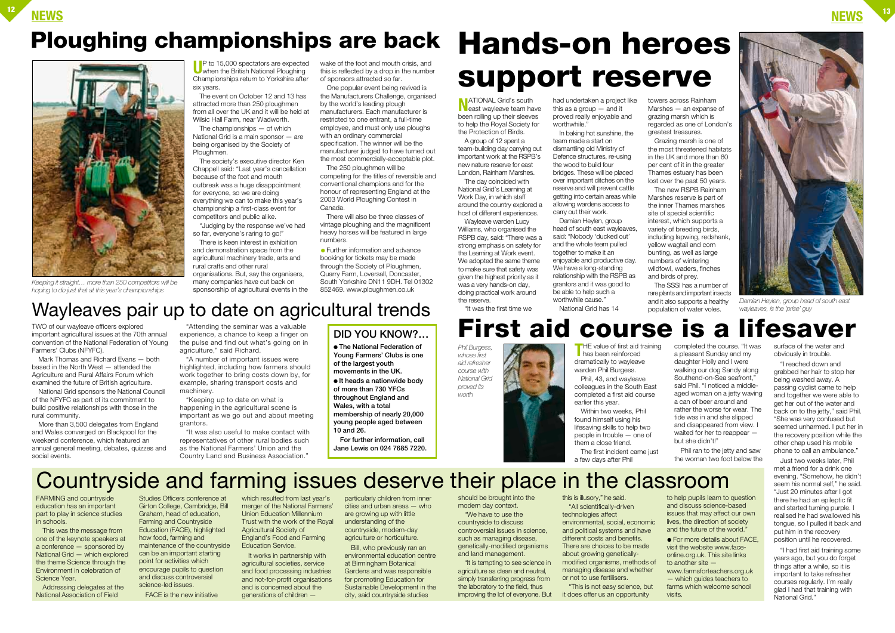**T**HE value of first aid training has been reinforced dramatically to wayleave

warden Phil Burgess. earlier this year.

Phil, 43, and wayleave colleagues in the South East completed a first aid course



Within two weeks, Phil found himself using his lifesaving skills to help two people in trouble — one of them a close friend. The first incident came just

a few days after Phil

completed the course. "It was a pleasant Sunday and my daughter Holly and I were walking our dog Sandy along Southend-on-Sea seafront," said Phil. "I noticed a middleaged woman on a jetty waving a can of beer around and rather the worse for wear. The tide was in and she slipped and disappeared from view. I waited for her to reappear – but she didn't!"

Phil ran to the jetty and saw the woman two foot below the

surface of the water and obviously in trouble.

"I reached down and grabbed her hair to stop her being washed away. A passing cyclist came to help and together we were able to get her out of the water and back on to the jetty," said Phil. "She was very confused but seemed unharmed. I put her in the recovery position while the other chap used his mobile phone to call an ambulance."

UP to 15,000 spectators are expected<br>when the British National Ploughing Championships return to Yorkshire after six years.

> Just two weeks later, Phil met a friend for a drink one evening. "Somehow, he didn't seem his normal self," he said. "Just 20 minutes after I got there he had an epileptic fit and started turning purple. I realised he had swallowed his tongue, so I pulled it back and put him in the recovery position until he recovered.

"I had first aid training some years ago, but you do forget things after a while, so it is important to take refresher courses regularly. I'm really glad I had that training with National Grid."

**NEWS <sup>12</sup> NEWS <sup>13</sup>**

## *Keeping it straight… more than 250 competitors will be*



*hoping to do just that at this year's championships* 

*Phil Burgess, whose first aid refresher course with National Grid proved its worth*

The event on October 12 and 13 has attracted more than 250 ploughmen from all over the UK and it will be held at Wilsic Hall Farm, near Wadworth.

The championships — of which National Grid is a main sponsor — are being organised by the Society of Ploughmen.

The society's executive director Ken Chappell said: "Last year's cancellation because of the foot and mouth outbreak was a huge disappointment for everyone, so we are doing everything we can to make this year's championship a first-class event for competitors and public alike.

This was the message from one of the keynote speakers at a conference — sponsored by National Grid — which explored the theme Science through the Environment in celebration of Science Year.

"Judging by the response we've had so far, everyone's raring to go!"

There is keen interest in exhibition and demonstration space from the agricultural machinery trade, arts and rural crafts and other rural organisations. But, say the organisers, many companies have cut back on sponsorship of agricultural events in the wake of the foot and mouth crisis, and this is reflected by a drop in the number of sponsors attracted so far.

One popular event being revived is the Manufacturers Challenge, organised by the world's leading plough manufacturers. Each manufacturer is restricted to one entrant, a full-time employee, and must only use ploughs with an ordinary commercial specification. The winner will be the manufacturer judged to have turned out the most commercially-acceptable plot.

> Bill, who previously ran an environmental education centre at Birmingham Botanical Gardens and was responsible for promoting Education for Sustainable Development in the city, said countryside studies

The 250 ploughmen will be competing for the titles of reversible and conventional champions and for the honour of representing England at the 2003 World Ploughing Contest in Canada.

There will also be three classes of vintage ploughing and the magnificent heavy horses will be featured in large numbers.

● Further information and advance booking for tickets may be made through the Society of Ploughmen, Quarry Farm, Loversall, Doncaster, South Yorkshire DN11 9DH. Tel 01302 852469. www.ploughmen.co.uk

TWO of our wayleave officers explored important agricultural issues at the 70th annual convention of the National Federation of Young

Farmers' Clubs (NFYFC).

**N**ATIONAL Grid's south<br>east wayleave team have been rolling up their sleeves to help the Royal Society for the Protection of Birds.

Mark Thomas and Richard Evans — both based in the North West — attended the Agriculture and Rural Affairs Forum which examined the future of British agriculture. National Grid sponsors the National Council of the NFYFC as part of its commitment to build positive relationships with those in the

rural community.

had undertaken a project like this as a group — and it proved really enjoyable and worthwhile.

More than 3,500 delegates from England and Wales converged on Blackpool for the weekend conference, which featured an annual general meeting, debates, quizzes and

social events.

"Attending the seminar was a valuable experience, a chance to keep a finger on the pulse and find out what's going on in agriculture," said Richard.

"A number of important issues were highlighted, including how farmers should work together to bring costs down by, for example, sharing transport costs and machinery.

## **Ploughing championships are back Hands-on heroes**

"Keeping up to date on what is happening in the agricultural scene is important as we go out and about meeting grantors.

"It was also useful to make contact with representatives of other rural bodies such as the National Farmers' Union and the Country Land and Business Association."

FARMING and countryside education has an important part to play in science studies in schools.

Addressing delegates at the National Association of Field

Studies Officers conference at Girton College, Cambridge, Bill Graham, head of education, Farming and Countryside Education (FACE), highlighted how food, farming and maintenance of the countryside can be an important starting point for activities which encourage pupils to question and discuss controversial science-led issues.

FACE is the new initiative

which resulted from last year's merger of the National Farmers' Union Education Millennium Trust with the work of the Royal Agricultural Society of England's Food and Farming Education Service.

## **First aid course is a lifesaver** "It was the first time we population of water voles.

It works in partnership with agricultural societies, service and food processing industries and not-for-profit organisations and is concerned about the generations of children —

particularly children from inner cities and urban areas — who are growing up with little understanding of the countryside, modern-day agriculture or horticulture.

should be brought into the modern day context.

"We have to use the countryside to discuss controversial issues in science, such as managing disease, genetically-modified organisms and land management.

"It is tempting to see science in agriculture as clean and neutral, simply transferring progress from the laboratory to the field, thus improving the lot of everyone. But this is illusory," he said. "All scientifically-driven technologies affect environmental, social, economic and political systems and have different costs and benefits. There are choices to be made about growing geneticallymodified organisms, methods of managing disease and whether or not to use fertilisers.

"This is not easy science, but it does offer us an opportunity

to help pupils learn to question and discuss science-based issues that may affect our own lives, the direction of society and the future of the world." ● For more details about FACE, visit the website www.faceonline.org.uk. This site links

to another site www.farmsforteachers.org.uk — which guides teachers to farms which welcome school visits.

## Countryside and farming issues deserve their place in the classroom

Wayleaves pair up to date on agricultural trends

## **DID YOU KNOW?…**

● **The National Federation of Young Farmers' Clubs is one of the largest youth movements in the UK.**

● **It heads a nationwide body of more than 730 YFCs throughout England and Wales, with a total**

**membership of nearly 20,000 young people aged between 10 and 26.**

**For further information, call Jane Lewis on 024 7685 7220.**

# **support reserve**

A group of 12 spent a team-building day carrying out important work at the RSPB's new nature reserve for east London, Rainham Marshes.

The day coincided with National Grid's Learning at Work Day, in which staff around the country explored a host of different experiences.

Wayleave warden Lucy Williams, who organised the RSPB day, said: "There was a strong emphasis on safety for the Learning at Work event. We adopted the same theme to make sure that safety was given the highest priority as it was a very hands-on day, doing practical work around the reserve.

In baking hot sunshine, the team made a start on dismantling old Ministry of Defence structures, re-using the wood to build four bridges. These will be placed over important ditches on the reserve and will prevent cattle getting into certain areas while allowing wardens access to carry out their work.

Damian Heylen, group head of south east wayleaves, said: "Nobody 'ducked out' and the whole team pulled together to make it an enjoyable and productive day. We have a long-standing relationship with the RSPB as grantors and it was good to be able to help such a worthwhile cause." National Grid has 14

towers across Rainham Marshes — an expanse of grazing marsh which is regarded as one of London's greatest treasures.

Grazing marsh is one of the most threatened habitats in the UK and more than 60 per cent of it in the greater Thames estuary has been lost over the past 50 years. The new RSPB Rainham Marshes reserve is part of the inner Thames marshes site of special scientific interest, which supports a variety of breeding birds, including lapwing, redshank, yellow wagtail and corn bunting, as well as large numbers of wintering wildfowl, waders, finches and birds of prey.

The SSSI has a number of rare plants and important insects and it also supports a healthy



*Damian Heylen, group head of south east wayleaves, is the 'prise' guy*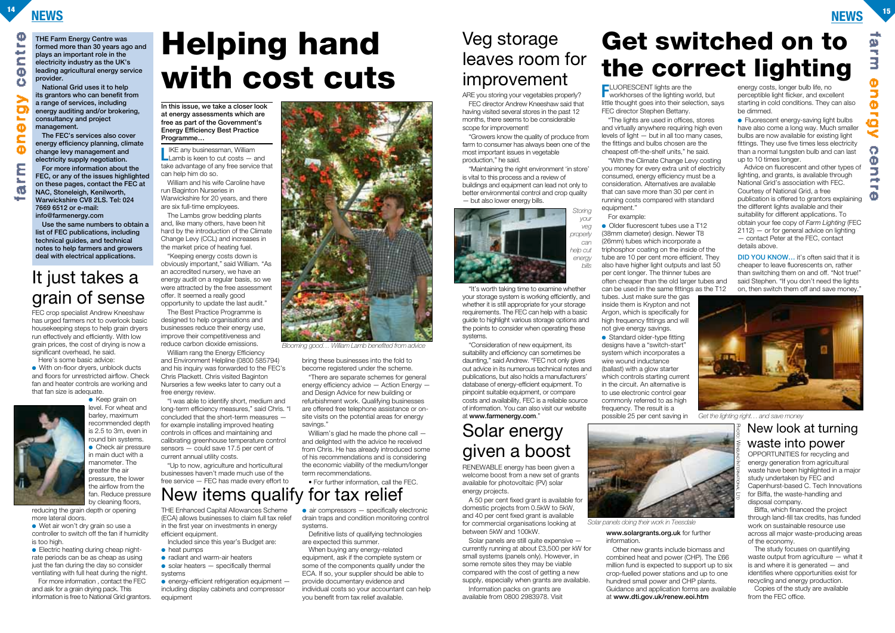## **NEWS <sup>14</sup> NEWS <sup>15</sup>**

CD.

**THE Farm Energy Centre was formed more than 30 years ago and plays an important role in the electricity industry as the UK's leading agricultural energy service provider. National Grid uses it to help** 

**its grantors who can benefit from a range of services, including energy auditing and/or brokering, consultancy and project management.**

**The FEC's services also cover energy efficiency planning, climate change levy management and electricity supply negotiation.**

**LIKE any businessman, William**<br>Lamb is keen to cut costs — and take advantage of any free service that can help him do so.

**For more information about the FEC, or any of the issues highlighted on these pages, contact the FEC at NAC, Stoneleigh, Kenilworth, Warwickshire CV8 2LS. Tel: 024 7669 6512 or e-mail: info@farmenergy.com**

**Use the same numbers to obtain a list of FEC publications, including technical guides, and technical notes to help farmers and growers deal with electrical applications.**

> William rang the Energy Efficiency and Environment Helpline (0800 585794) and his inquiry was forwarded to the FEC's Chris Plackett. Chris visited Baginton Nurseries a few weeks later to carry out a free energy review.

William and his wife Caroline have run Baginton Nurseries in Warwickshire for 20 years, and there are six full-time employees.

The Lambs grow bedding plants and, like many others, have been hit hard by the introduction of the Climate Change Levy (CCL) and increases in the market price of heating fuel.

> "There are separate schemes for general energy efficiency advice — Action Energy and Design Advice for new building or refurbishment work. Qualifying businesses are offered free telephone assistance or onsite visits on the potential areas for energy savings."

"Keeping energy costs down is obviously important," said William. "As an accredited nursery, we have an energy audit on a regular basis, so we were attracted by the free assessment offer. It seemed a really good opportunity to update the last audit."

**FLUORESCENT lights are the workhorses of the lighting world, but** little thought goes into their selection, says FEC director Stephen Bettany.

The Best Practice Programme is designed to help organisations and businesses reduce their energy use, improve their competitiveness and reduce carbon dioxide emissions.

● Older fluorescent tubes use a T12 (38mm diameter) design. Newer T8 (26mm) tubes which incorporate a triphosphor coating on the inside of the tube are 10 per cent more efficient. They also have higher light outputs and last 50 per cent longer. The thinner tubes are often cheaper than the old larger tubes and can be used in the same fittings as the T12 tubes. Just make sure the gas inside them is Krypton and not Argon, which is specifically for high frequency fittings and will not give energy savings.

"I was able to identify short, medium and long-term efficiency measures," said Chris. "I concluded that the short-term measures for example installing improved heating controls in offices and maintaining and calibrating greenhouse temperature control sensors — could save 17.5 per cent of current annual utility costs.

"Up to now, agriculture and horticultural businesses haven't made much use of the free service — FEC has made every effort to ● Fluorescent energy-saving light bulbs have also come a long way. Much smaller bulbs are now available for existing light fittings. They use five times less electricity than a normal tungsten bulb and can last up to 10 times longer.

bring these businesses into the fold to become registered under the scheme.

Included since this year's Budget are: ● heat pumps

William's glad he made the phone call and delighted with the advice he received from Chris. He has already introduced some of his recommendations and is considering the economic viability of the medium/longer term recommendations.

- radiant and warm-air heaters
- $\bullet$  solar heaters  $-$  specifically thermal systems

 $\bullet$  energy-efficient refrigeration equipment  $$ including display cabinets and compressor equipment

### $\bullet$  air compressors  $-$  specifically electronic drain traps and condition monitoring control

• For further information, call the FEC.

"The lights are used in offices, stores and virtually anywhere requiring high even levels of light — but in all too many cases, the fittings and bulbs chosen are the cheapest off-the-shelf units," he said. "With the Climate Change Levy costing you money for every extra unit of electricity consumed, energy efficiency must be a consideration. Alternatives are available

FEC crop specialist Andrew Kneeshaw has urged farmers not to overlook basic housekeeping steps to help grain dryers run effectively and efficiently. With low grain prices, the cost of drying is now a significant overhead, he said.

that can save more than 30 per cent in running costs compared with standard equipment."

For example:

● With on-floor drvers, unblock ducts and floors for unrestricted airflow. Check fan and heater controls are working and that fan size is adequate.



 $\bullet$  Keep grain on level. For wheat and barley, maximum recommended depth is 2.5 to 3m, even in round bin systems. ● Check air pressure in main duct with a manometer. The greater the air pressure, the lower the airflow from the fan. Reduce pressure by cleaning floors,

● Electric heating during cheap nightrate periods can be as cheap as using just the fan during the day so consider ventilating with full heat during the night. energy costs, longer bulb life, no perceptible light flicker, and excellent starting in cold conditions. They can also be dimmed.

Solar panels are still quite expensive currently running at about £3,500 per kW for small systems (panels only). However, in some remote sites they may be viable compared with the cost of getting a new supply, especially when grants are available.

Advice on fluorescent and other types of lighting, and grants, is available through National Grid's association with FEC. Courtesy of National Grid, a free publication is offered to grantors explaining the different lights available and their suitability for different applications. To obtain your fee copy of *Farm Lighting* (FEC  $2112$ )  $-$  or for general advice on lighting — contact Peter at the FEC, contact details above.

**DID YOU KNOW...** it's often said that it is cheaper to leave fluorescents on, rather than switching them on and off. "Not true!" said Stephen. "If you don't need the lights on, then switch them off and save money.



● Standard older-type fitting designs have a "switch-start" system which incorporates a wire wound inductance (ballast) with a glow starter which controls starting current in the circuit. An alternative is to use electronic control gear commonly referred to as high frequency. The result is a possible 25 per cent saving in *Get the lighting right… and save money*

> PHOTO: WINSUND INTERNATIONAL F

THE Enhanced Capital Allowances Scheme (ECA) allows businesses to claim full tax relief in the first year on investments in energy efficient equipment.

systems. Definitive lists of qualifying technologies

are expected this summer.

When buying any energy-related equipment, ask if the complete system or some of the components qualify under the ECA. If so, your supplier should be able to provide documentary evidence and individual costs so your accountant can help you benefit from tax relief available.

OPPORTUNITIES for recycling and energy generation from agricultural waste have been highlighted in a major study undertaken by FEC and Capenhurst-based C. Tech Innovations for Biffa, the waste-handling and disposal company.

Biffa, which financed the project through land-fill tax credits, has funded work on sustainable resource use across all major waste-producing areas of the economy.

The study focuses on quantifying waste output from agriculture — what it is and where it is generated — and identifies where opportunities exist for recycling and energy production.

Copies of the study are available from the FEC office.

Here's some basic advice:

reducing the grain depth or opening more lateral doors.

● Wet air won't dry grain so use a controller to switch off the fan if humidity is too high.

For more information , contact the FEC and ask for a grain drying pack. This information is free to National Grid grantors. ARE you storing your vegetables properly? FEC director Andrew Kneeshaw said that having visited several stores in the past 12 months, there seems to be considerable scope for improvement!

"Growers know the quality of produce from farm to consumer has always been one of the most important issues in vegetable production," he said.

"Maintaining the right environment 'in store' is vital to this process and a review of buildings and equipment can lead not only to better environmental control and crop quality — but also lower energy bills.

"It's worth taking time to examine whether your storage system is working efficiently, and whether it is still appropriate for your storage requirements. The FEC can help with a basic guide to highlight various storage options and the points to consider when operating these systems.

"Consideration of new equipment, its suitability and efficiency can sometimes be daunting," said Andrew. "FEC not only gives out advice in its numerous technical notes and publications, but also holds a manufacturers' database of energy-efficient equipment. To pinpoint suitable equipment, or compare costs and availability, FEC is a reliable source of information. You can also visit our website at **www.farmenergy.com**."

RENEWABLE energy has been given a welcome boost from a new set of grants available for photovoltaic (PV) solar energy projects.

A 50 per cent fixed grant is available for domestic projects from 0.5kW to 5kW, and 40 per cent fixed grant is available for commercial organisations looking at between 5kW and 100kW.

Information packs on grants are available from 0800 2983978. Visit **www.solargrants.org.uk** for further information.

Other new grants include biomass and combined heat and power (CHP). The £66 million fund is expected to support up to six crop-fuelled power stations and up to one hundred small power and CHP plants. Guidance and application forms are available at **www.dti.gov.uk/renew.eoi.htm**

## **Helping hand with cost cuts**

## Solar energy given a boost

New items qualify for tax relief



*Blooming good… William Lamb benefited from advice*

## Veg storage leaves room for improvement

## New look at turning waste into power

## **Get switched on to the correct lighting**



## It just takes a grain of sense

**In this issue, we take a closer look at energy assessments which are free as part of the Government's Energy Efficiency Best Practice Programme…**



*Solar panels doing their work in Teesdale*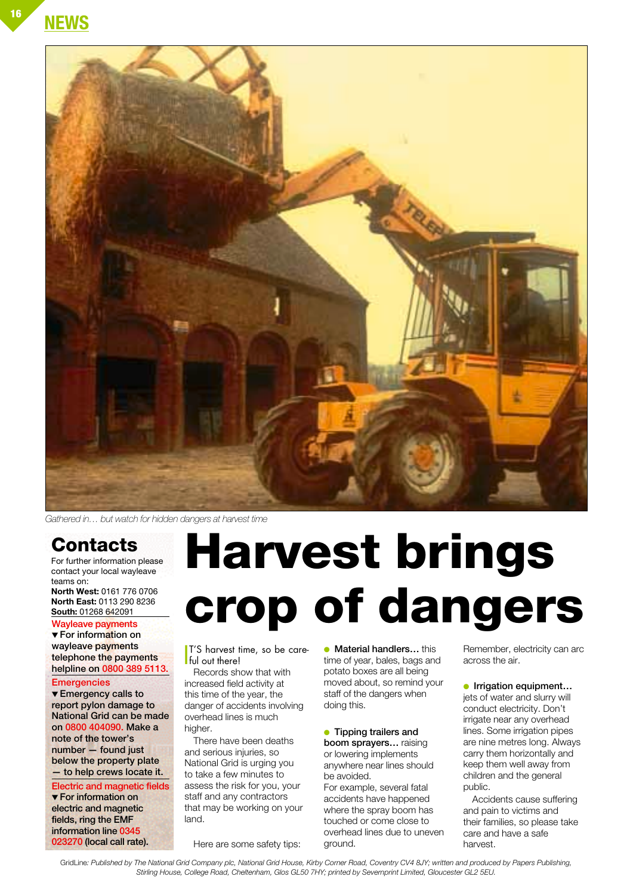**NEWS**



*Gathered in… but watch for hidden dangers at harvest time*

## **Contacts**

For further information please contact your local wayleave teams on:

**North West:** 0161 776 0706 **North East:** 0113 290 8236 **South:** 01268 642091

#### **Wayleave payments**

▼ **For information on wayleave payments telephone the payments helpline on 0800 389 5113.**

**Emergencies**

▼ **Emergency calls to report pylon damage to National Grid can be made on 0800 404090. Make a note of the tower's number — found just below the property plate — to help crews locate it.**

**Electric and magnetic fields** ▼ **For information on electric and magnetic fields, ring the EMF information line 0345 023270 (local call rate).**

# **Harvest brings crop of dangers**

 $\int_{\text{ful out there}}^{\text{T/S} \text{ harvest}}$ T'S harvest time, so be care-

Records show that with increased field activity at this time of the year, the danger of accidents involving overhead lines is much higher.

There have been deaths and serious injuries, so National Grid is urging you to take a few minutes to assess the risk for you, your staff and any contractors that may be working on your land.

Here are some safety tips:

● **Material handlers…** this time of year, bales, bags and potato boxes are all being moved about, so remind your staff of the dangers when doing this.

#### ● **Tipping trailers and**

**boom sprayers…** raising or lowering implements anywhere near lines should be avoided.

For example, several fatal accidents have happened where the spray boom has touched or come close to overhead lines due to uneven ground.

Remember, electricity can arc across the air.

#### **• Irrigation equipment...**

jets of water and slurry will conduct electricity. Don't irrigate near any overhead lines. Some irrigation pipes are nine metres long. Always carry them horizontally and keep them well away from children and the general public.

Accidents cause suffering and pain to victims and their families, so please take care and have a safe harvest.

GridLine*: Published by The National Grid Company plc, National Grid House, Kirby Corner Road, Coventry CV4 8JY; written and produced by Papers Publishing, Stirling House, College Road, Cheltenham, Glos GL50 7HY; printed by Severnprint Limited, Gloucester GL2 5EU.*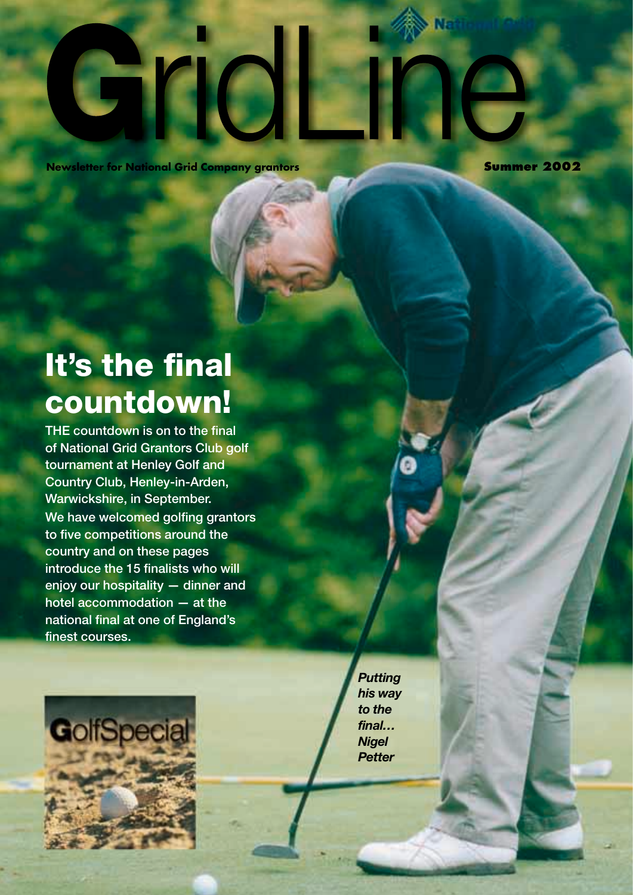#### **Newsletter for National Grid Company grantors <b>All Company Summer 2002**

Ń.

## **It's the final countdown!**

**THE countdown is on to the final of National Grid Grantors Club golf tournament at Henley Golf and Country Club, Henley-in-Arden, Warwickshire, in September. We have welcomed golfing grantors to five competitions around the country and on these pages introduce the 15 finalists who will enjoy our hospitality — dinner and hotel accommodation — at the national final at one of England's finest courses.**



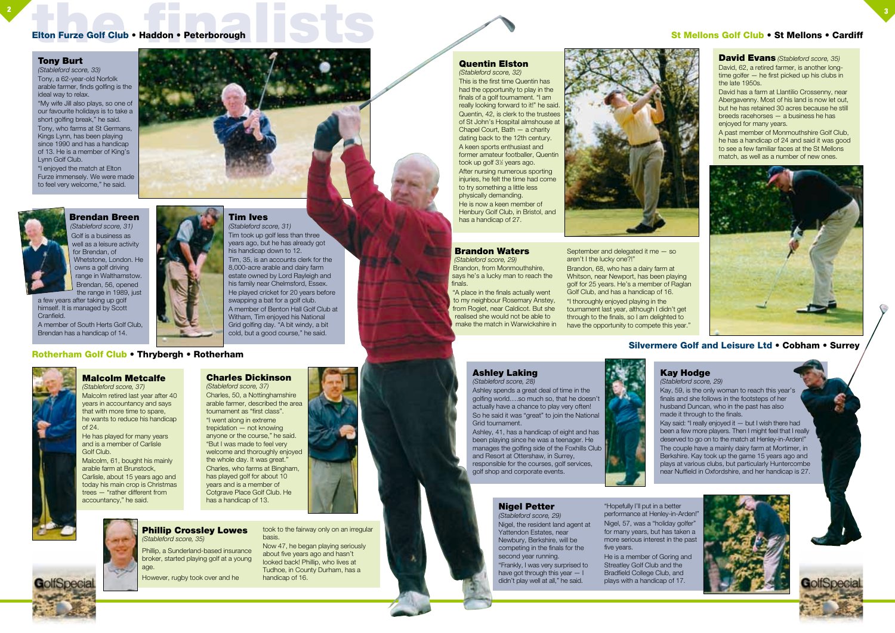**Brandon Waters**

*(Stableford score, 29)*

Brandon, from Monmouthshire, says he's a lucky man to reach the finals.

"A place in the finals actually went

to my neighbour Rosemary Anstey, from Rogiet, near Caldicot. But she make the match in Warwickshire in

realised she would not be able to







aren't I the lucky one?!" Brandon, 68, who has a dairy farm at Whitson, near Newport, has been playing golf for 25 years. He's a member of Raglan

Golf Club, and has a handicap of 16. "I thoroughly enjoyed playing in the tournament last year, although I didn't get through to the finals, so I am delighted to have the opportunity to compete this year."

# **the finalists of Club** • Haddon • Peterborough<br>
and the final state of Club • Haddon • Peterborough<br>
and the final state of Club • Haddon • Peterborough<br>
and the final state of Club • Haddon • Peterborough<br>
and the final

#### **Tony Burt**

*(Stableford score, 33)* Tony, a 62-year-old Norfolk arable farmer, finds golfing is the ideal way to relax.

"My wife Jill also plays, so one of our favourite holidays is to take a short golfing break," he said. Tony, who farms at St Germans, Kings Lynn, has been playing since 1990 and has a handicap of 13. He is a member of King's Lynn Golf Club.

"I enjoyed the match at Elton Furze immensely. We were made to feel very welcome," he said.



**Tim Ives** *(Stableford score, 31)*

Tim took up golf less than three years ago, but he has already got

his handicap down to 12.

Tim, 35, is an accounts clerk for the 8,000-acre arable and dairy farm estate owned by Lord Rayleigh and his family near Chelmsford, Essex. He played cricket for 20 years before swapping a bat for a golf club. A member of Benton Hall Golf Club at Witham, Tim enjoyed his National Grid golfing day. "A bit windy, a bit cold, but a good course," he said.

#### **Kay Hodge**

*(Stableford score, 29)*

a few years after taking up golf himself. It is managed by Scott **Cranfield** 

> Kay, 59, is the only woman to reach this year's finals and she follows in the footsteps of her husband Duncan, who in the past has also made it through to the finals.



Kay said: "I really enjoyed it — but I wish there had been a few more players. Then I might feel that I really deserved to go on to the match at Henley-in-Arden!" The couple have a mainly dairy farm at Mortimer, in Berkshire. Kay took up the game 15 years ago and plays at various clubs, but particularly Huntercombe near Nuffield in Oxfordshire, and her handicap is 27.

#### **Ashley Laking** *(Stableford score, 28)*

Ashley spends a great deal of time in the golfing world….so much so, that he doesn't actually have a chance to play very often! So he said it was "great" to join the National Grid tournament.

Ashley, 41, has a handicap of eight and has been playing since he was a teenager. He manages the golfing side of the Foxhills Club and Resort at Ottershaw, in Surrey, responsible for the courses, golf services, golf shop and corporate events.

#### **Nigel Petter**

*(Stableford score, 29)* Nigel, the resident land agent at Yattendon Estates, near Newbury, Berkshire, will be competing in the finals for the second year running. "Frankly, I was very surprised to have got through this year — I didn't play well at all," he said.

"Hopefully I'll put in a better performance at Henley-in-Arden!" Nigel, 57, was a "holiday golfer" for many years, but has taken a more serious interest in the past

five years. He is a member of Goring and Streatley Golf Club and the Bradfield College Club, and plays with a handicap of 17.

#### **Brendan Breen** *(Stableford score, 31)*

Golf is a business as well as a leisure activity for Brendan, of Whetstone, London. He owns a golf driving range in Walthamstow. Brendan, 56, opened the range in 1989, just

A member of South Herts Golf Club, Brendan has a handicap of 14.

### **St Mellons Golf Club • St Mellons • Cardiff**



#### **Rotherham Golf Club • Thrybergh • Rotherham**



**David Evans** *(Stableford score, 35)* David, 62, a retired farmer, is another longtime golfer — he first picked up his clubs in the late 1950s.

David has a farm at Llantilio Crossenny, near Abergavenny. Most of his land is now let out, but he has retained 30 acres because he still breeds racehorses — a business he has enjoyed for many years.

A past member of Monmouthshire Golf Club, he has a handicap of 24 and said it was good to see a few familiar faces at the St Mellons match, as well as a number of new ones.





#### **Quentin Elston** *(Stableford score, 32)*

This is the first time Quentin has had the opportunity to play in the finals of a golf tournament. "I am really looking forward to it!" he said. Quentin, 42, is clerk to the trustees of St John's Hospital almshouse at Chapel Court, Bath — a charity dating back to the 12th century. A keen sports enthusiast and former amateur footballer, Quentin took up golf 3<sup>1/2</sup> years ago. After nursing numerous sporting injuries, he felt the time had come to try something a little less physically demanding. He is now a keen member of Henbury Golf Club, in Bristol, and has a handicap of 27.

#### **Silvermere Golf and Leisure Ltd • Cobham • Surrey**

#### **Phillip Crossley Lowes** *(Stableford score, 35)*

Phillip, a Sunderland-based insurance broker, started playing golf at a young age.

However, rugby took over and he

took to the fairway only on an irregular basis.

Now 47, he began playing seriously about five years ago and hasn't looked back! Phillip, who lives at Tudhoe, in County Durham, has a handicap of 16.

### **Malcolm Metcalfe**

*(Stableford score, 37)* Malcolm retired last year after 40 years in accountancy and says that with more time to spare, he wants to reduce his handicap of 24.

He has played for many years and is a member of Carlisle Golf Club.

Malcolm, 61, bought his mainly arable farm at Brunstock, Carlisle, about 15 years ago and today his main crop is Christmas trees — "rather different from accountancy," he said.

#### **Charles Dickinson**

*(Stableford score, 37)* Charles, 50, a Nottinghamshire arable farmer, described the area tournament as "first class". "I went along in extreme trepidation — not knowing anyone or the course," he said. "But I was made to feel very welcome and thoroughly enjoyed the whole day. It was great." Charles, who farms at Bingham, has played golf for about 10 years and is a member of Cotgrave Place Golf Club. He has a handicap of 13.